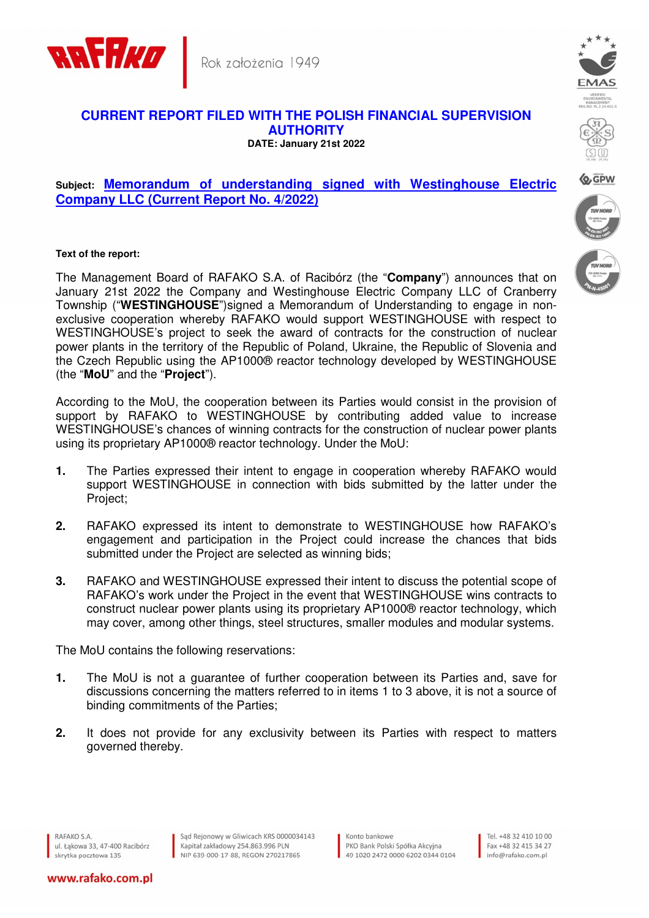

## **CURRENT REPORT FILED WITH THE POLISH FINANCIAL SUPERVISION AUTHORITY DATE: January 21st 2022**

## **Subject: Memorandum of understanding signed with Westinghouse Electric Company LLC (Current Report No. 4/2022)**

## **Text of the report:**

The Management Board of RAFAKO S.A. of Racibórz (the "**Company**") announces that on January 21st 2022 the Company and Westinghouse Electric Company LLC of Cranberry Township ("**WESTINGHOUSE**")signed a Memorandum of Understanding to engage in nonexclusive cooperation whereby RAFAKO would support WESTINGHOUSE with respect to WESTINGHOUSE's project to seek the award of contracts for the construction of nuclear power plants in the territory of the Republic of Poland, Ukraine, the Republic of Slovenia and the Czech Republic using the AP1000® reactor technology developed by WESTINGHOUSE (the "**MoU**" and the "**Project**").

According to the MoU, the cooperation between its Parties would consist in the provision of support by RAFAKO to WESTINGHOUSE by contributing added value to increase WESTINGHOUSE's chances of winning contracts for the construction of nuclear power plants using its proprietary AP1000® reactor technology. Under the MoU:

- **1.** The Parties expressed their intent to engage in cooperation whereby RAFAKO would support WESTINGHOUSE in connection with bids submitted by the latter under the Project;
- **2.** RAFAKO expressed its intent to demonstrate to WESTINGHOUSE how RAFAKO's engagement and participation in the Project could increase the chances that bids submitted under the Project are selected as winning bids;
- **3.** RAFAKO and WESTINGHOUSE expressed their intent to discuss the potential scope of RAFAKO's work under the Project in the event that WESTINGHOUSE wins contracts to construct nuclear power plants using its proprietary AP1000® reactor technology, which may cover, among other things, steel structures, smaller modules and modular systems.

The MoU contains the following reservations:

- **1.** The MoU is not a guarantee of further cooperation between its Parties and, save for discussions concerning the matters referred to in items 1 to 3 above, it is not a source of binding commitments of the Parties;
- **2.** It does not provide for any exclusivity between its Parties with respect to matters governed thereby.

www.rafako.com.pl